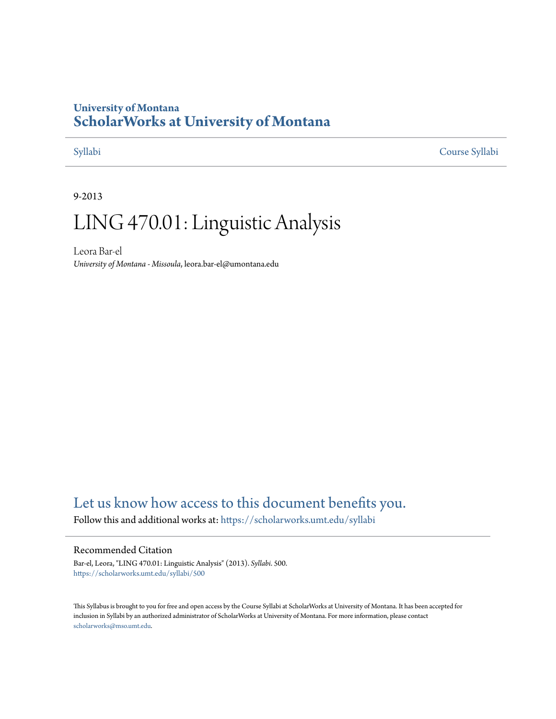## **University of Montana [ScholarWorks at University of Montana](https://scholarworks.umt.edu?utm_source=scholarworks.umt.edu%2Fsyllabi%2F500&utm_medium=PDF&utm_campaign=PDFCoverPages)**

[Syllabi](https://scholarworks.umt.edu/syllabi?utm_source=scholarworks.umt.edu%2Fsyllabi%2F500&utm_medium=PDF&utm_campaign=PDFCoverPages) [Course Syllabi](https://scholarworks.umt.edu/course_syllabi?utm_source=scholarworks.umt.edu%2Fsyllabi%2F500&utm_medium=PDF&utm_campaign=PDFCoverPages)

#### 9-2013

# LING 470.01: Linguistic Analysis

Leora Bar-el *University of Montana - Missoula*, leora.bar-el@umontana.edu

# [Let us know how access to this document benefits you.](https://goo.gl/forms/s2rGfXOLzz71qgsB2)

Follow this and additional works at: [https://scholarworks.umt.edu/syllabi](https://scholarworks.umt.edu/syllabi?utm_source=scholarworks.umt.edu%2Fsyllabi%2F500&utm_medium=PDF&utm_campaign=PDFCoverPages)

#### Recommended Citation

Bar-el, Leora, "LING 470.01: Linguistic Analysis" (2013). *Syllabi*. 500. [https://scholarworks.umt.edu/syllabi/500](https://scholarworks.umt.edu/syllabi/500?utm_source=scholarworks.umt.edu%2Fsyllabi%2F500&utm_medium=PDF&utm_campaign=PDFCoverPages)

This Syllabus is brought to you for free and open access by the Course Syllabi at ScholarWorks at University of Montana. It has been accepted for inclusion in Syllabi by an authorized administrator of ScholarWorks at University of Montana. For more information, please contact [scholarworks@mso.umt.edu](mailto:scholarworks@mso.umt.edu).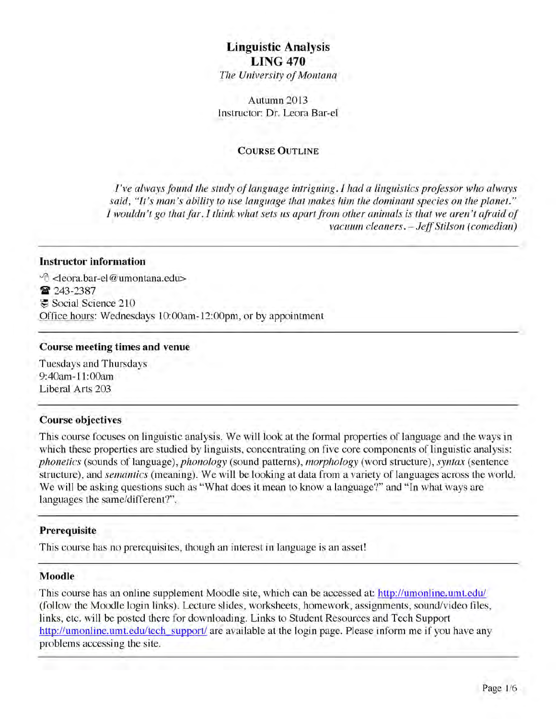# **Linguistic Analysis LING 470**

*The University of Montana* 

Autumn 2013 Instructor: Dr. Leora Bar-el

#### **COURSE OUTLINE**

*I've always found the study of language intriguing. I had a linguistics professor who always* said, "It's man's ability to use language that makes him the dominant species on the planet." *I wouldn't go that far. I think what sets us apart from other animals is that we aren't afraid of* vacuum cleaners. - Jeff Stilson (comedian)

#### **Instructor information**

Wi <leora.bar-el@ umontana.edu> 8 243-2387 Social Science 210 Office hours: Wednesdays 10:00am-12:00pm, or by appointment

#### **Course meeting times and venue**

Tuesdays and Thursdays 9:40am -11:00am Liberal Arts 203

#### **Course objectives**

This course focuses on linguistic analysis. We will look at the formal properties of language and the ways in which these properties are studied by linguists, concentrating on five core components of linguistic analysis: *phonetics* (sounds of language), *phonology* (sound patterns), *morphology* (word structure), *syntax* (sentence structure), and *semantics* (meaning). We will be looking at data from a variety of languages across the world. We will be asking questions such as "What does it mean to know a language?" and "In what ways are languages the same/different?".

#### **Prerequisite**

This course has no prerequisites, though an interest in language is an asset!

#### **Moodle**

This course has an online supplement Moodle site, which can be accessed at: http://umonline.umt.edu/ (follow the Moodle login links). Lecture slides, worksheets, homework, assignments, sound/video files, links, etc. will be posted there for downloading. Links to Student Resources and Tech Support http://umonline.umt.edu/tech support/ are available at the login page. Please inform me if you have any problems accessing the site.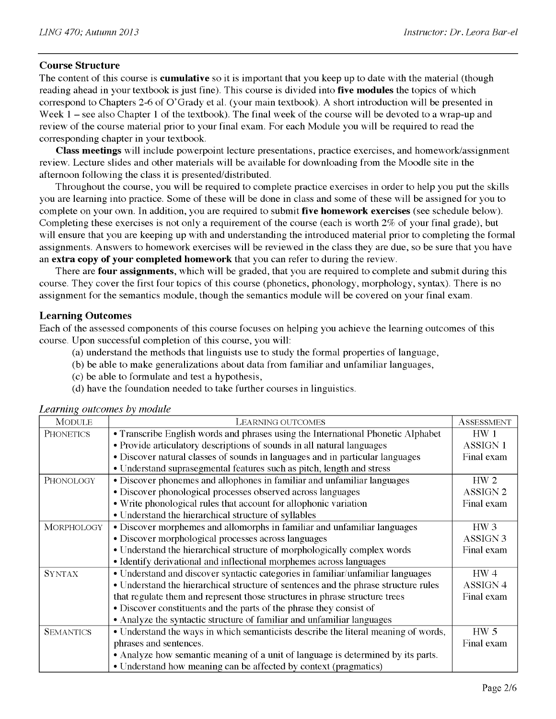#### **Course Structure**

The content of this course is **cumulative** so it is important that you keep up to date with the material (though reading ahead in your textbook is just fine). This course is divided into **five modules** the topics of which correspond to Chapters 2-6 of O'Grady et al. (your main textbook). A short introduction will be presented in Week 1 – see also Chapter 1 of the textbook). The final week of the course will be devoted to a wrap-up and review of the course material prior to your final exam. For each Module you will be required to read the corresponding chapter in your textbook.

**Class meetings** will include powerpoint lecture presentations, practice exercises, and homework/assignment review. Lecture slides and other materials will be available for downloading from the Moodle site in the afternoon following the class it is presented/distributed.

Throughout the course, you will be required to complete practice exercises in order to help you put the skills you are learning into practice. Some of these will be done in class and some of these will be assigned for you to complete on your own. In addition, you are required to submit **five homework exercises** (see schedule below). Completing these exercises is not only a requirement of the course (each is worth 2% of your final grade), but will ensure that you are keeping up with and understanding the introduced material prior to completing the formal assignments. Answers to homework exercises will be reviewed in the class they are due, so be sure that you have an **extra copy of your completed homework** that you can refer to during the review.

There are **four assignments,** which will be graded, that you are required to complete and submit during this course. They cover the first four topics of this course (phonetics, phonology, morphology, syntax). There is no assignment for the semantics module, though the semantics module will be covered on your final exam.

#### **Learning Outcomes**

Each of the assessed components of this course focuses on helping you achieve the learning outcomes of this course. Upon successful completion of this course, you will:

- (a) understand the methods that linguists use to study the formal properties of language,
- (b) be able to make generalizations about data from familiar and unfamiliar languages,
- (c) be able to formulate and test a hypothesis,
- (d) have the foundation needed to take further courses in linguistics.

| <b>MODULE</b>     | LEARNING OUTCOMES                                                                      | <b>ASSESSMENT</b>   |  |  |  |  |  |
|-------------------|----------------------------------------------------------------------------------------|---------------------|--|--|--|--|--|
| <b>PHONETICS</b>  | • Transcribe English words and phrases using the International Phonetic Alphabet       |                     |  |  |  |  |  |
|                   | • Provide articulatory descriptions of sounds in all natural languages                 |                     |  |  |  |  |  |
|                   | • Discover natural classes of sounds in languages and in particular languages          | Final exam          |  |  |  |  |  |
|                   | • Understand suprasegmental features such as pitch, length and stress                  |                     |  |  |  |  |  |
| PHONOLOGY         | • Discover phonemes and allophones in familiar and unfamiliar languages                | HW <sub>2</sub>     |  |  |  |  |  |
|                   | • Discover phonological processes observed across languages                            | ASSIGN <sub>2</sub> |  |  |  |  |  |
|                   | • Write phonological rules that account for allophonic variation                       | Final exam          |  |  |  |  |  |
|                   | • Understand the hierarchical structure of syllables                                   |                     |  |  |  |  |  |
| <b>MORPHOLOGY</b> | • Discover morphemes and allomorphs in familiar and unfamiliar languages               |                     |  |  |  |  |  |
|                   | • Discover morphological processes across languages                                    | ASSIGN <sub>3</sub> |  |  |  |  |  |
|                   | • Understand the hierarchical structure of morphologically complex words<br>Final exam |                     |  |  |  |  |  |
|                   | • Identify derivational and inflectional morphemes across languages                    |                     |  |  |  |  |  |
| <b>SYNTAX</b>     | • Understand and discover syntactic categories in familiar/unfamiliar languages        | HW <sub>4</sub>     |  |  |  |  |  |
|                   | • Understand the hierarchical structure of sentences and the phrase structure rules    | ASSIGN <sub>4</sub> |  |  |  |  |  |
|                   | that regulate them and represent those structures in phrase structure trees            |                     |  |  |  |  |  |
|                   | • Discover constituents and the parts of the phrase they consist of                    |                     |  |  |  |  |  |
|                   | • Analyze the syntactic structure of familiar and unfamiliar languages                 |                     |  |  |  |  |  |
| <b>SEMANTICS</b>  | • Understand the ways in which semanticists describe the literal meaning of words,     | HW <sub>5</sub>     |  |  |  |  |  |
|                   | phrases and sentences.                                                                 |                     |  |  |  |  |  |
|                   | • Analyze how semantic meaning of a unit of language is determined by its parts.       |                     |  |  |  |  |  |
|                   | • Understand how meaning can be affected by context (pragmatics)                       |                     |  |  |  |  |  |

#### *Learning outcomes by module*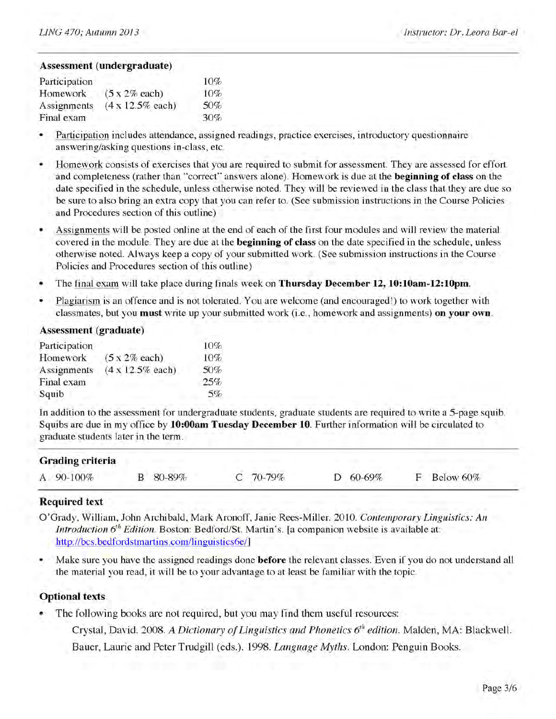#### **Assessment (undergraduate)**

| Participation |                       | 10% |
|---------------|-----------------------|-----|
| Homework      | $(5 \times 2\%$ each) | 10% |
| Assignments   | (4 x 12.5% each)      | 50% |
| Final exam    |                       | 30% |

- *•* Participation includes attendance, assigned readings, practice exercises, introductory questionnaire answering/asking questions in-class, etc.
- Homework consists of exercises that you are required to submit for assessment. They are assessed for effort and completeness (rather than "correct" answers alone). Homework is due at the **beginning of class** on the date specified in the schedule, unless otherwise noted. They will be reviewed in the class that they are due so be sure to also bring an extra copy that you can refer to. (See submission instructions in the Course Policies and Procedures section of this outline)
- Assignments will be posted online at the end of each of the first four modules and will review the material covered in the module. They are due at the **beginning of class** on the date specified in the schedule, unless otherwise noted. Always keep a copy of your submitted work. (See submission instructions in the Course Policies and Procedures section of this outline)
- The final exam will take place during finals week on **Thursday December 12, 10:10am-12:10pm.**
- Plagiarism is an offence and is not tolerated. You are welcome (and encouraged!) to work together with classmates, but you **must** write up your submitted work (i.e., homework and assignments) **on your own.**

#### **Assessment (graduate)**

| Participation |                          | 10% |
|---------------|--------------------------|-----|
| Homework      | $(5x 2%$ each)           | 10% |
| Assignments   | $(4 \times 12.5\%$ each) | 50% |
| Final exam    |                          | 25% |
| Squib         |                          | 5%  |

In addition to the assessment for undergraduate students, graduate students are required to write a 5-page squib. Squibs are due in my office by **10:00am Tuesday December 10.** Further information will be circulated to graduate students later in the term.

| Grading criteria |          |          |            |    |           |  |
|------------------|----------|----------|------------|----|-----------|--|
| A 90-100%        | B 80-89% | C 70-79% | $D$ 60-69% | П. | Below 60% |  |

#### **Required text**

- O 'Grady, William, John Archibald, Mark Aronoff, Janie Rees-Miller. 2010. *Contemporary Linguistics: An Introduction*  $6<sup>th</sup>$  *Edition.* Boston: Bedford/St. Martin's. [a companion website is available at: http://bcs.bedfordstmartins.com/linguistics6e/]
- Make sure you have the assigned readings done **before** the relevant classes. Even if you do not understand all the material you read, it will be to your advantage to at least be familiar with the topic.

#### **Optional texts**

The following books are not required, but you may find them useful resources:

Crystal, David. 2008. *A Dictionary of Linguistics and Phonetics 6<sup>th</sup> edition*. Malden, MA: Blackwell. Bauer, Laurie and Peter Trudgill (eds.). 1998. *Language Myths.* London: Penguin Books.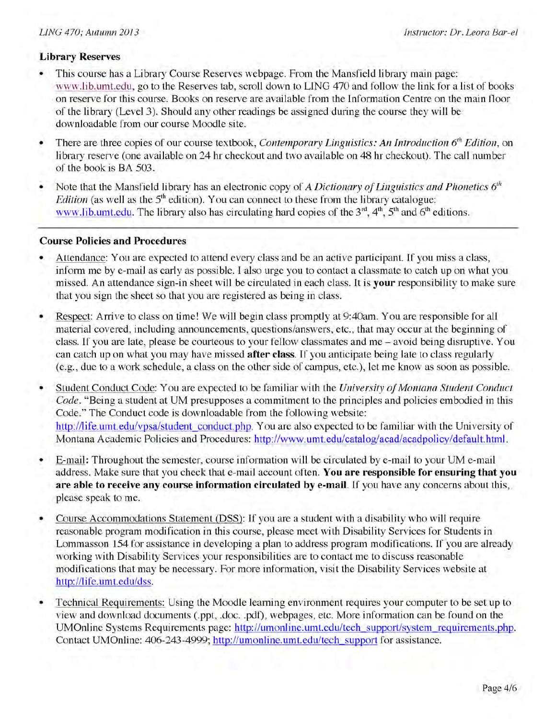#### **Library Reserves**

- This course has a Library Course Reserves webpage. From the Mansfield library main page: www.lib.umt.edu, go to the Reserves tab, scroll down to LING 470 and follow the link for a list of books on reserve for this course. Books on reserve are available from the Information Centre on the main floor of the library (Level 3). Should any other readings be assigned during the course they will be downloadable from our course Moodle site.
- There are three copies of our course textbook, *Contemporary Linguistics: An Introduction 6<sup>th</sup> Edition*, on library reserve (one available on 24 hr checkout and two available on 48 hr checkout). The call number of the book is BA 503.
- Note that the Mansfield library has an electronic copy of *A Dictionary of Linguistics and Phonetics*  $6<sup>th</sup>$ *Edition* (as well as the  $5<sup>th</sup>$  edition). You can connect to these from the library catalogue: www.lib.umt.edu. The library also has circulating hard copies of the  $3<sup>rd</sup>$ ,  $4<sup>th</sup>$ ,  $5<sup>th</sup>$  and  $6<sup>th</sup>$  editions.

#### **Course Policies and Procedures**

- Attendance: You are expected to attend every class and be an active participant. If you miss a class, inform me by e-mail as early as possible. I also urge you to contact a classmate to catch up on what you missed. An attendance sign-in sheet will be circulated in each class. It is **your** responsibility to make sure that you sign the sheet so that you are registered as being in class.
- Respect: Arrive to class on time! We will begin class promptly at 9:40am. You are responsible for all material covered, including announcements, questions/answers, etc., that may occur at the beginning of class. If you are late, please be courteous to your fellow classmates and me - avoid being disruptive. You can catch up on what you may have missed **after class.** If you anticipate being late to class regularly (e.g., due to a work schedule, a class on the other side of campus, etc.), let me know as soon as possible.
- Student Conduct Code: You are expected to be familiar with the *University of Montana Student Conduct Code.* "Being a student at UM presupposes a commitment to the principles and policies embodied in this Code." The Conduct code is downloadable from the following website: http://life.umt.edu/vpsa/student conduct.php. You are also expected to be familiar with the University of Montana Academic Policies and Procedures: http://www.umt.edu/catalog/acad/acadpolicy/default.html.
- E-mail: Throughout the semester, course information will be circulated by e-mail to your UM e-mail address. Make sure that you check that e-mail account often. **You are responsible for ensuring that you are able to receive any course information circulated by e-mail.** If you have any concerns about this, please speak to me.
- Course Accommodations Statement (DSS): If you are a student with a disability who will require reasonable program modification in this course, please meet with Disability Services for Students in Lommasson 154 for assistance in developing a plan to address program modifications. If you are already working with Disability Services your responsibilities are to contact me to discuss reasonable modifications that may be necessary. For more information, visit the Disability Services website at http://life.umt.edu/dss.
- Technical Requirements: Using the Moodle learning environment requires your computer to be set up to view and download documents (.ppt, .doc. .pdf), webpages, etc. More information can be found on the UMOnline Systems Requirements page: http://umonline.umt.edu/tech support/system requirements.php. Contact UMOnline: 406-243-4999; http://umonline.umt.edu/tech support for assistance.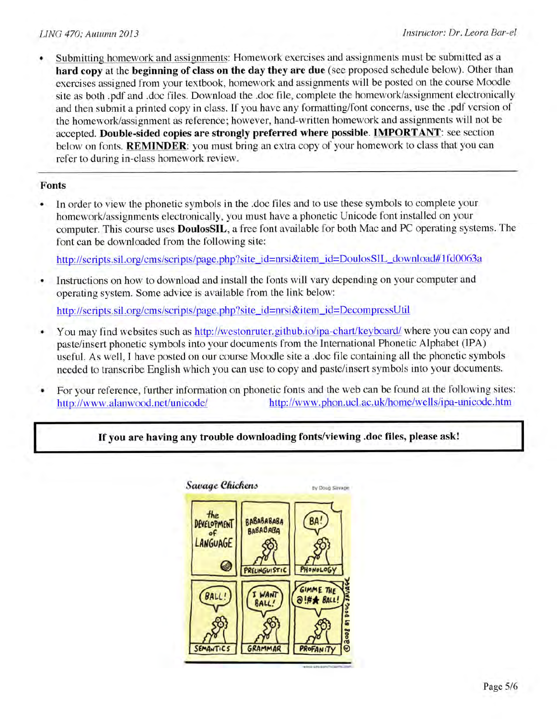• Submitting homework and assignments: Homework exercises and assignments must be submitted as a **hard copy** at the **beginning of class on the day they are due** (see proposed schedule below). Other than exercises assigned from your textbook, homework and assignments will be posted on the course Moodle site as both .pdf and .doc files. Download the .doc file, complete the homework/assignment electronically and then submit a printed copy in class. If you have any formatting/font concerns, use the .pdf version of the homework/assignment as reference; however, hand-written homework and assignments will not be accepted. **Double-sided copies are strongly preferred where possible. IMPORTANT**: see section below on fonts. **REMINDER**: you must bring an extra copy of your homework to class that you can refer to during in-class homework review.

#### **Fonts**

• In order to view the phonetic symbols in the .doc files and to use these symbols to complete your homework/assignments electronically, you must have a phonetic Unicode font installed on your computer. This course uses **DoulosSIL,** a free font available for both Mac and PC operating systems. The font can be downloaded from the following site:

http://scripts.sil.org/cms/scripts/page.php?site\_id=nrsi&item\_id=DoulosSIL\_download#1fd0063a

• Instructions on how to download and install the fonts will vary depending on your computer and operating system. Some advice is available from the link below:

http://scripts.sil.org/cms/scripts/page.php?site\_id=nrsi&item\_id=DecompressUtil

- You may find websites such as http://westonruter.github.io/ipa-chart/keyboard/ where you can copy and paste/insert phonetic symbols into your documents from the International Phonetic Alphabet (IPA) useful. As well, I have posted on our course Moodle site a .doc file containing all the phonetic symbols needed to transcribe English which you can use to copy and paste/insert symbols into your documents.
- For your reference, further information on phonetic fonts and the web can be found at the following sites: http://www.alanwood.net/unicode/ http://www.phon.ucl.ac.uk/home/wells/ipa-unicode.htm

#### **If you are having any trouble downloading fonts/viewing .doc files, please ask!**